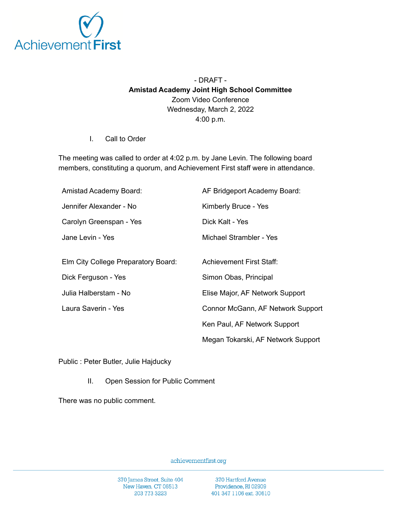

## - DRAFT - **Amistad Academy Joint High School Committee** Zoom Video Conference Wednesday, March 2, 2022 4:00 p.m.

I. Call to Order

The meeting was called to order at 4:02 p.m. by Jane Levin. The following board members, constituting a quorum, and Achievement First staff were in attendance.

| Amistad Academy Board:              | AF Bridgeport Academy Board:       |
|-------------------------------------|------------------------------------|
| Jennifer Alexander - No             | Kimberly Bruce - Yes               |
| Carolyn Greenspan - Yes             | Dick Kalt - Yes                    |
| Jane Levin - Yes                    | Michael Strambler - Yes            |
|                                     |                                    |
| Elm City College Preparatory Board: | <b>Achievement First Staff:</b>    |
| Dick Ferguson - Yes                 | Simon Obas, Principal              |
| Julia Halberstam - No               | Elise Major, AF Network Support    |
| Laura Saverin - Yes                 | Connor McGann, AF Network Support  |
|                                     | Ken Paul, AF Network Support       |
|                                     | Megan Tokarski, AF Network Support |

Public : Peter Butler, Julie Hajducky

II. Open Session for Public Comment

There was no public comment.

achievementfirst.org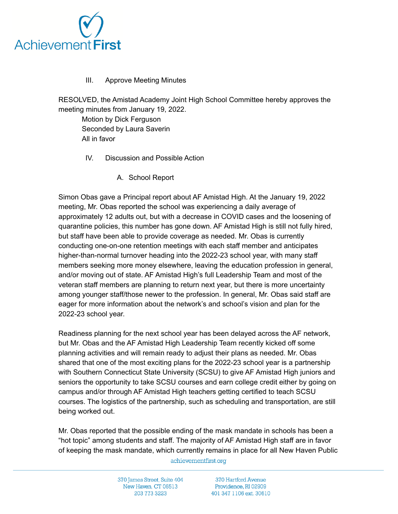

## III. Approve Meeting Minutes

RESOLVED, the Amistad Academy Joint High School Committee hereby approves the meeting minutes from January 19, 2022.

Motion by Dick Ferguson Seconded by Laura Saverin All in favor

- IV. Discussion and Possible Action
	- A. School Report

Simon Obas gave a Principal report about AF Amistad High. At the January 19, 2022 meeting, Mr. Obas reported the school was experiencing a daily average of approximately 12 adults out, but with a decrease in COVID cases and the loosening of quarantine policies, this number has gone down. AF Amistad High is still not fully hired, but staff have been able to provide coverage as needed. Mr. Obas is currently conducting one-on-one retention meetings with each staff member and anticipates higher-than-normal turnover heading into the 2022-23 school year, with many staff members seeking more money elsewhere, leaving the education profession in general, and/or moving out of state. AF Amistad High's full Leadership Team and most of the veteran staff members are planning to return next year, but there is more uncertainty among younger staff/those newer to the profession. In general, Mr. Obas said staff are eager for more information about the network's and school's vision and plan for the 2022-23 school year.

Readiness planning for the next school year has been delayed across the AF network, but Mr. Obas and the AF Amistad High Leadership Team recently kicked off some planning activities and will remain ready to adjust their plans as needed. Mr. Obas shared that one of the most exciting plans for the 2022-23 school year is a partnership with Southern Connecticut State University (SCSU) to give AF Amistad High juniors and seniors the opportunity to take SCSU courses and earn college credit either by going on campus and/or through AF Amistad High teachers getting certified to teach SCSU courses. The logistics of the partnership, such as scheduling and transportation, are still being worked out.

Mr. Obas reported that the possible ending of the mask mandate in schools has been a "hot topic" among students and staff. The majority of AF Amistad High staff are in favor of keeping the mask mandate, which currently remains in place for all New Haven Public

achievementfirst.org

370 James Street, Suite 404 New Haven, CT 06513 203 773 3223

370 Hartford Avenue Providence, RI 02909 401 347 1106 ext. 30610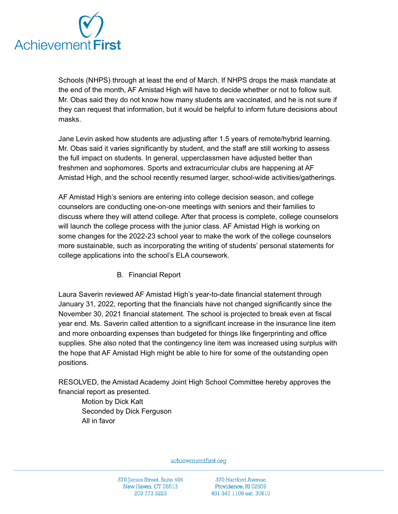

Schools (NHPS) through at least the end of March. If NHPS drops the mask mandate at the end of the month, AF Amistad High will have to decide whether or not to follow suit. Mr. Obas said they do not know how many students are vaccinated, and he is not sure if they can request that information, but it would be helpful to inform future decisions about masks.

Jane Levin asked how students are adjusting after 1.5 years of remote/hybrid learning. Mr. Obas said it varies significantly by student, and the staff are still working to assess the full impact on students. In general, upperclassmen have adjusted better than freshmen and sophomores. Sports and extracurricular clubs are happening at AF Amistad High, and the school recently resumed larger, school-wide activities/gatherings.

AF Amistad High's seniors are entering into college decision season, and college counselors are conducting one-on-one meetings with seniors and their families to discuss where they will attend college. After that process is complete, college counselors will launch the college process with the junior class. AF Amistad High is working on some changes for the 2022-23 school year to make the work of the college counselors more sustainable, such as incorporating the writing of students' personal statements for college applications into the school's ELA coursework.

B. Financial Report

Laura Saverin reviewed AF Amistad High's year-to-date financial statement through January 31, 2022, reporting that the financials have not changed significantly since the November 30, 2021 financial statement. The school is projected to break even at fiscal year end. Ms. Saverin called attention to a significant increase in the insurance line item and more onboarding expenses than budgeted for things like fingerprinting and office supplies. She also noted that the contingency line item was increased using surplus with the hope that AF Amistad High might be able to hire for some of the outstanding open positions.

RESOLVED, the Amistad Academy Joint High School Committee hereby approves the financial report as presented.

Motion by Dick Kalt Seconded by Dick Ferguson All in favor

achievementfirst.org

370 Hartford Avenue Providence, RI 02909 401 347 1106 ext. 30610